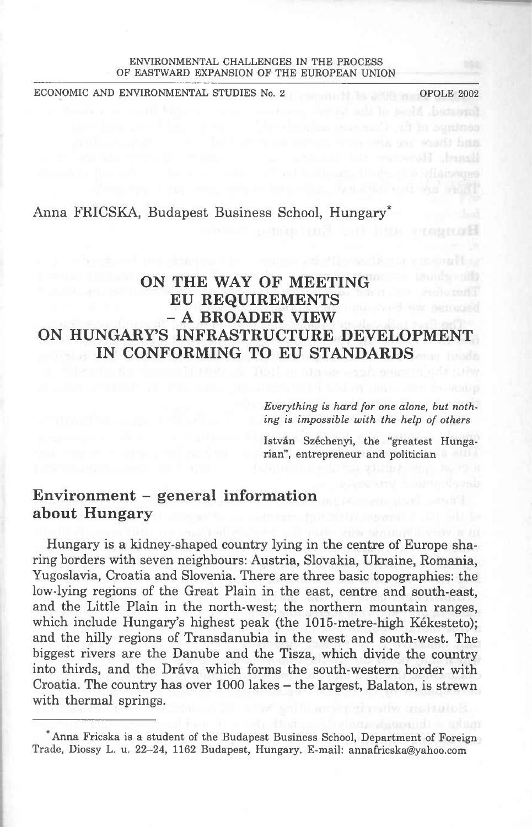#### ENVIRONMENTAL CHALLENGEE IN THE PROCESS OF EASTWARD EXPANSION OF THE EUROPEAN UNION

ECONOMIC AND ENVIRONMENTAL STUDIES No. 2 OPOLE 2002

Anna FRICSKA, Budapest Business School, Hungary\*

# **ON THE WAY OF MEETING EU REQUIREMENTS - <sup>A</sup> BROADER VIEW ON HUNGARY'S INFRASTRUCTURE DEVELOPMENT IN CONFORMING TO EU STANDARDS**

*Everything is hard for one alone, but nothing is impossible with the help of others*

Istvan Szechenyi, the "greatest Hungarian", entrepreneur and politician

## **Environment - generał Information about Hungary**

Hungary is a kidney-shaped country lying in the centre of Europę sharing borders with seven neighbours: Austria, Slovakia, Ukrainę, Romania, Yugoslavia, Croatia and Slovenia. There are three basie topographies: the low-lying regions of the Great Plain in the east, centre and south-east, and the Little Plain in the north-west; the northern mountain ranges, which include Hungary's highest peak (the 1015-metre-high Kékesteto); and the hilly regions of Transdanubia in the west and south-west. The biggest rivers are the Danube and the Tisza, which divide the country into thirds, and the Drava which forms the south-western border with Croatia. The country has over 1000 lakes – the largest, Balaton, is strewn with thermal springs.

Anna Fricska is a student of the Budapest Business School, Department of Foreign Trade, Diossy L. u. 22-24, 1162 Budapest, Hungary. E-mail: [annafricska@yahoo.com](mailto:annafricska@yahoo.com)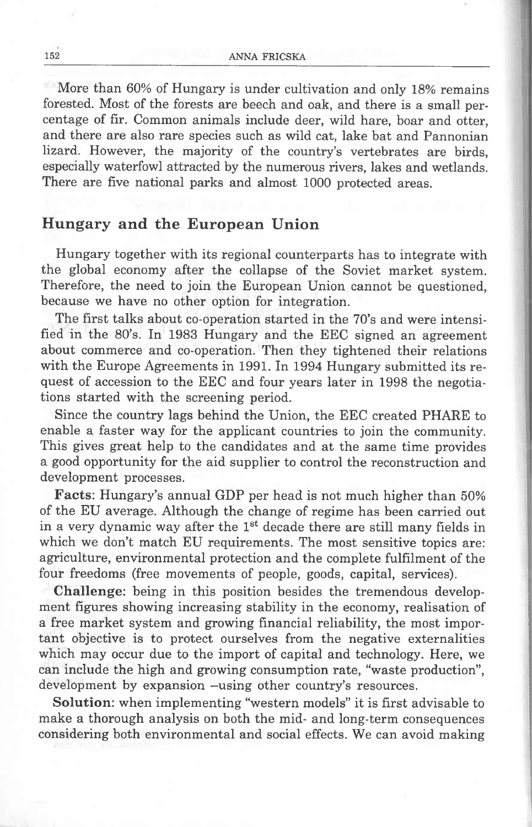Morę than 60% of Hungary is under cultivation and only 18% remains forested. Most of the forests are beech and oak, and there is a smali percentage of fir. Common animals include deer, wild hare, boar and otter, and there are also rare species such as wild cat, lakę bat and Pannonian lizard. However, the majority of the country's vertebrates are birds, especially waterfowl attracted by the numerous rivers, lakes and wetlands. There are five national parks and almost 1000 protected areas.

#### **Hungary and the European Union**

Hungary together with its regional counterparts has to integrate with the global economy after the collapse of the Soviet market system. Therefore, the need to join the European Union cannot be ąuestioned, because we have no other option for integration.

The first talks about co-operation started in the 70's and were intensified in the 80's. In 1983 Hungary and the EEC signed an agreement about commerce and co-operation. Then they tightened their relations with the Europę Agreements in 1991. In 1994 Hungary submitted its request of accession to the EEC and four years later in 1998 the negotiations started with the screening period.

Since the country lags behind the Union, the EEC created PHARE to enable a faster way for the applicant countries to join the community. This gives great help to the candidates and at the same time provides a good opportunity for the aid supplier to control the reconstruction and development processes.

**Facts:** Hungary's annual GDP per head is not much higher than 50% of the EU average. Although the change of regime has been carried out in a very dynamic way after the  $1<sup>st</sup>$  decade there are still many fields in which we don't match EU requirements. The most sensitive topics are: agriculture, environmental protection and the complete fulfilment of the four freedoms (free movements of people, goods, Capital, services).

**Challenge:** being in this position besides the tremendous development figures showing inereasing stability in the economy, realisation of a free market system and growing financial reliability, the most important objective is to protect ourselves from the negative externalities which may occur due to the import of capital and technology. Here, we can include the high and growing consumption ratę, "waste production", development by expansion -using other country's resources.

**Solution:** when implementing "western models" it is first advisable to make a thorough analysis on both the mid- and long-term conseąuences considering both environmental and social effeets. We can avoid making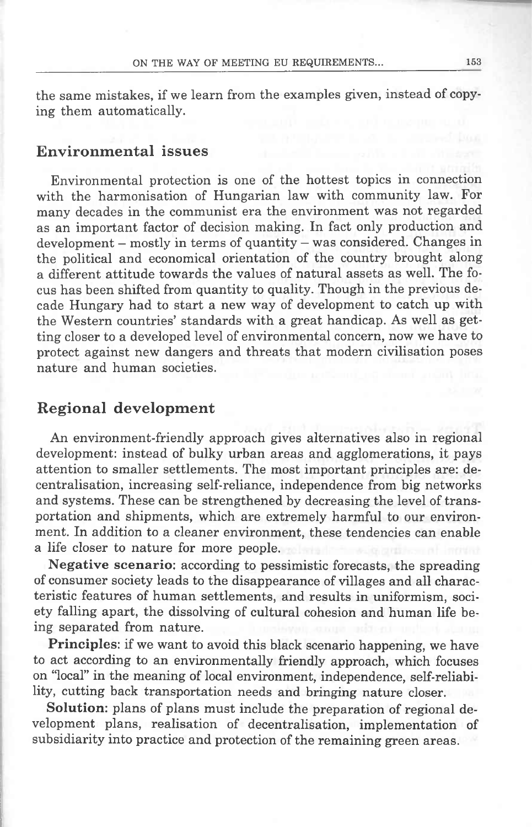the same mistakes, if we learn from the examples given, instead of copying them automatically.

#### **Environmental issues**

Environmental protection is one of the hottest topics in connection with the harmonisation of Hungarian law with community law. For many decades in the communist era the environment was not regarded as an important factor of decision making. In fact only production and development - mostly in terms of quantity - was considered. Changes in the political and economical orientation of the country brought along a different attitude towards the values of natural assets as well. The focus has been shifted from ąuantity to ąuality. Though in the previous decade Hungary had to start a new way of development to catch up with the Western countries' standards with a great handicap. As well as getting closer to a developed level of environmental concern, now we have to protect against new dangers and threats that modern civilisation poses naturę and human societies.

### **Regional development**

An environment-friendly approach gives alternatives also in regional development: instead of bulky urban areas and agglomerations, it pays attention to smaller settlements. The most important principles are: decentralisation, increasing self-reliance, independence from big networks and systems. These can be strengthened by decreasing the level of transportation and shipments, which are extremely harmful to our environment. In addition to a cleaner environment, these tendencies can enable a life closer to naturę for morę people.

**Negative scenario:** according to pessimistic forecasts, the spreading of consumer society leads to the disappearance of villages and all characteristic features of human settlements, and results in uniformism, society falling apart, the dissolving of cultural cohesion and human life being separated from naturę.

**Principles:** if we want to avoid this black scenario happening, we have to act according to an environmentally friendly approach, which focuses on "local" in the meaning of local environment, independence, self-reliability, cutting back transportation needs and bringing naturę closer.

**Solution:** plans of plans must include the preparation of regional development plans, realisation of decentralisation, implementation of subsidiarity into practice and protection of the remaining green areas.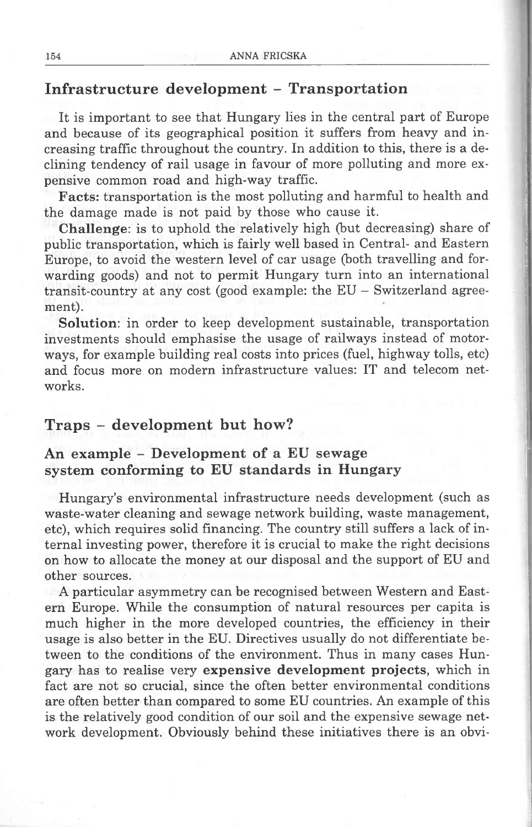## **Infrastructure development - Transportation**

It is important to see that Hungary lies in the central part of Europę and because of its geographical position it suffers from heavy and increasing traffic throughout the country. In addition to this, there is a declining tendency of raił usage in favour of morę polluting and morę expensive common road and high-way traffic.

**Facts:** transportation is the most polluting and harmful to health and the damage madę is not paid by those who cause it.

**Challenge:** is to uphold the relatively high (but decreasing) share of public transportation, which is fairly well based in Central- and Eastern Europę, to avoid the western level of car usage (both travelling and forwarding goods) and not to permit Hungary turn into an international transit-country at any cost (good example: the EU — Switzerland agreement).

**Solution:** in order to keep development sustainable, transportation investments should emphasise the usage of railways instead of motorways, for example building real costs into prices (fuel, highway tolls, etc) and focus morę on modern infrastructure values: IT and telecom networks.

## **Traps - development but how?**

### **An example - Development of <sup>a</sup> EU sewage system conforming to EU standards in Hungary**

Hungary's environmental infrastructure needs development (such as waste-water cleaning and sewage network building, waste management, etc), which reąuires solid financing. The country still suffers a lack of internal investing power, therefore it is crucial to make the right decisions on how to allocate the money at our disposal and the support of EU and other sources.

A particular asymmetry can be recognised between Western and Eastern Europę. While the consumption of natural resources per capita is much higher in the morę developed countries, the efficiency in their usage is also better in the EU. Directives usually do not differentiate between to the conditions of the environment. Thus in many cases Hungary has to realise very **expensive development projects,** which in fact are not so crucial, sińce the often better environmental conditions are often better than compared to some EU countries. An example of this is the relatively good condition of our soil and the expensive sewage network development. Obviously behind these initiatives there is an obvi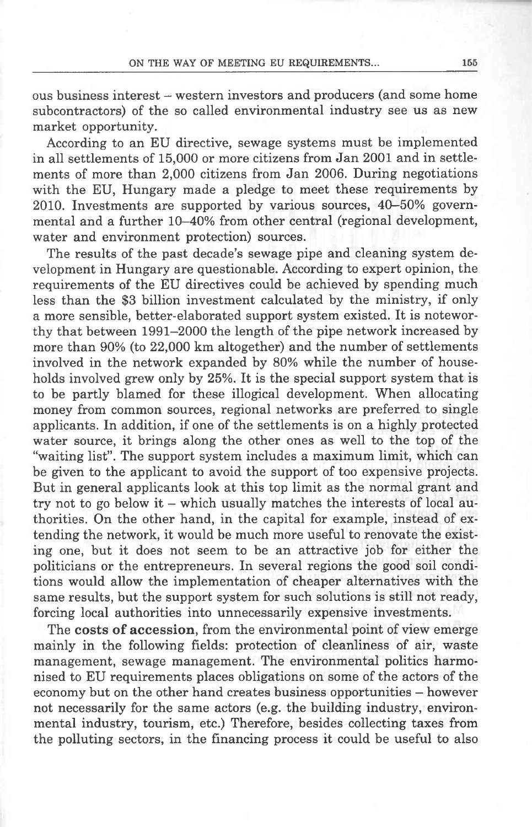ous business interest - western investors and producers (and some home subcontractors) of the so called environmental industry see us as new market opportunity.

According to an EU directive, sewage systems must be implemented in all settlements of 15,000 or morę citizens from Jan 2001 and in settlements of morę than 2,000 citizens from Jan 2006. During negotiations with the EU, Hungary madę a pledge to meet these reąuirements by 2010. Investments are supported by various sources, 40-50% governmental and a further 10-40% from other central (regional development, water and environment protection) sources.

The results of the past decade's sewage pipę and cleaning system development in Hungary are ąuestionable. According to expert opinion, the reąuirements of the EU directives could be achieved by spending much less than the \$3 billion investment calculated by the ministry, if only a morę sensible, better-elaborated support system existed. It is noteworthy that between 1991-2000 the length of the pipe network increased by morę than 90% (to 22,000 km altogether) and the number of settlements involved in the network expanded by 80% while the number of households involved grew only by 25%. It is the special support system that is to be partly blamed for these illogical development. When allocating money from common sources, regional networks are preferred to single applicants. In addition, if one of the settlements is on a highly protected water source, it brings along the other ones as well to the top of the "waiting list". The support system includes a maximum limit, which can be given to the applicant to avoid the support of too expensive projects. But in generał applicants look at this top limit as the normal grant and try not to go below it  $-$  which usually matches the interests of local authorities. On the other hand, in the Capital for example, instead of extending the network, it would be much morę useful to renovate the existing one, but it does not seem to be an attractive job for either the politicians or the entrepreneurs. In several regions the good soil conditions would allow the implementation of cheaper alternatives with the same results, but the support system for such Solutions is still not ready, forcing local authorities into unnecessarily expensive investments.

The **costs of accession,** from the environmental point of view emerge mainly in the following fields: protection of cleanliness of air, waste management, sewage management. The environmental politics harmonised to EU reąuirements places obligations on some of the actors of the economy but on the other hand creates business opportunities — however not necessarily for the same actors (e.g. the building industry, environmental industry, tourism, etc.) Therefore, besides collecting taxes from the polluting sectors, in the financing process it could be useful to also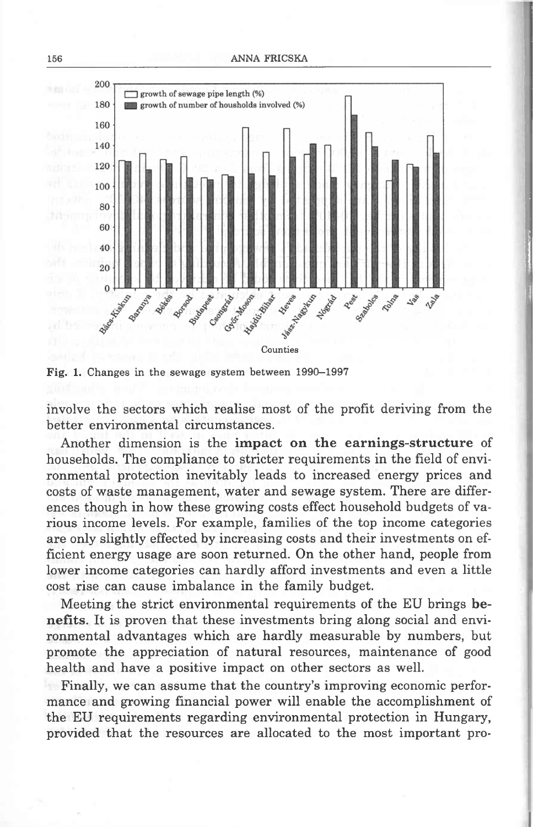



Fig. 1. Changes in the sewage system between 1990-1997

involve the sectors which realise most of the profit deriving from the better environmental circumstances.

Another dimension is the **impact on the earnings-structure** of households. The compliance to stricter reąuirements in the field of environmental protection inevitably leads to increased energy prices and costs of waste management, water and sewage system. There are differences though in how these growing costs effect household budgets of various income levels. For example, families of the top income categories are only slightly effected by increasing costs and their investments on efficient energy usage are soon returned. On the other hand, people from lower income categories can hardly afford investments and even a little cost rise can cause imbalance in the family budget.

Meeting the strict environmental reąuirements of the EU brings **benefits.** It is proven that these investments bring along social and environmental advantages which are hardly measurable by numbers, but promote the appreciation of natural resources, maintenance of good health and have a positive impact on other sectors as well.

Finally, we can assume that the country's improving economic performance and growing financial power will enable the accomplishment of the EU reąuirements regarding environmental protection in Hungary, provided that the resources are allocated to the most important pro